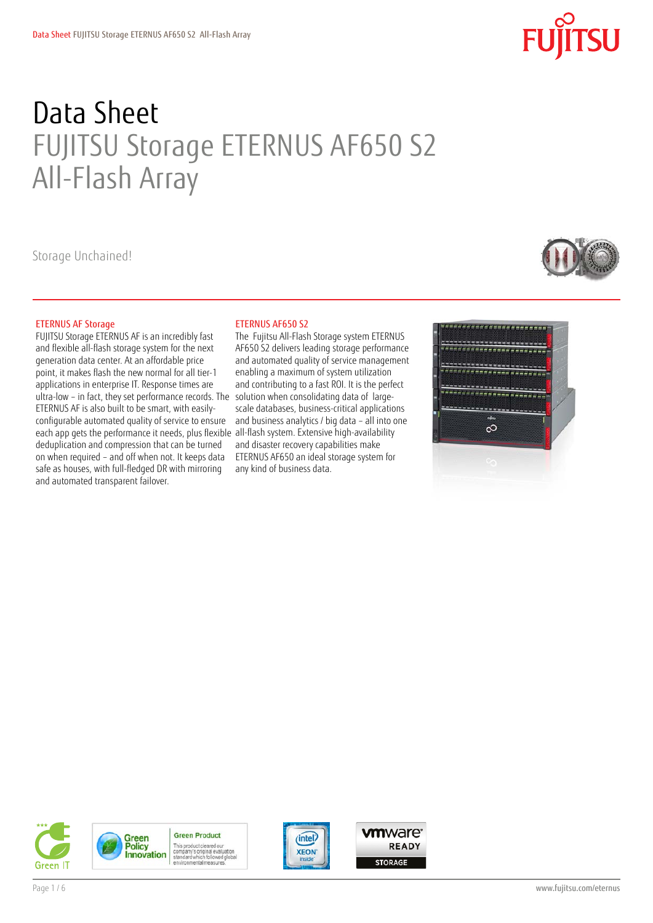# **SU**

## Data Sheet FUJITSU Storage ETERNUS AF650 S2 All-Flash Array

Storage Unchained!

#### ETERNUS AF Storage

FUJITSU Storage ETERNUS AF is an incredibly fast and flexible all-flash storage system for the next generation data center. At an affordable price point, it makes flash the new normal for all tier-1 applications in enterprise IT. Response times are ultra-low – in fact, they set performance records. The ETERNUS AF is also built to be smart, with easilyconfigurable automated quality of service to ensure each app gets the performance it needs, plus flexible all-flash system. Extensive high-availability deduplication and compression that can be turned on when required – and off when not. It keeps data safe as houses, with full-fledged DR with mirroring and automated transparent failover.

#### ETERNUS AF650 S2

The Fujitsu All-Flash Storage system ETERNUS AF650 S2 delivers leading storage performance and automated quality of service management enabling a maximum of system utilization and contributing to a fast ROI. It is the perfect solution when consolidating data of largescale databases, business-critical applications and business analytics / big data – all into one and disaster recovery capabilities make ETERNUS AF650 an ideal storage system for any kind of business data.







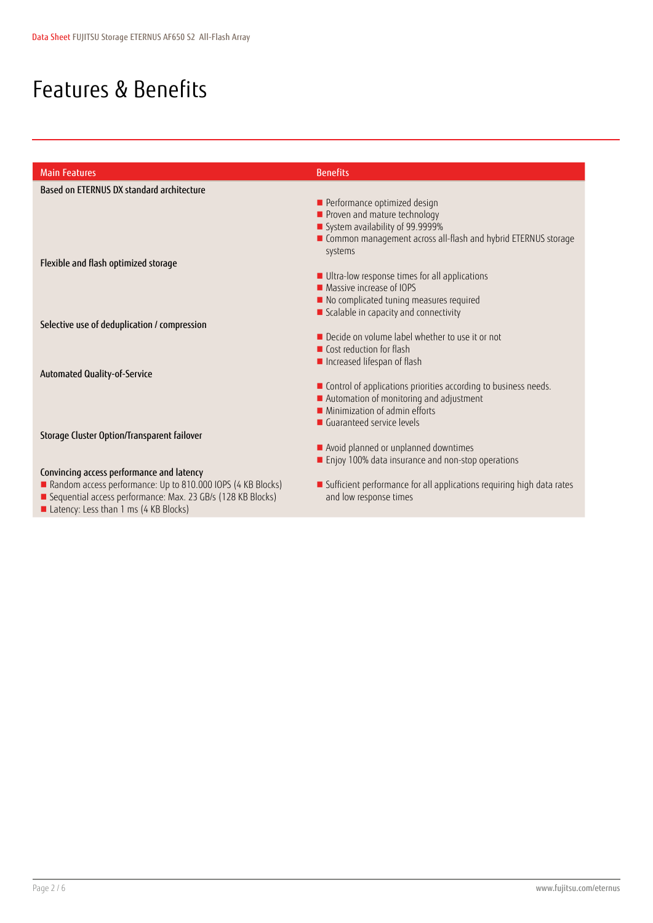### Features & Benefits

| <b>Main Features</b>                                        | <b>Benefits</b>                                                       |
|-------------------------------------------------------------|-----------------------------------------------------------------------|
| Based on ETERNUS DX standard architecture                   |                                                                       |
|                                                             | Performance optimized design                                          |
|                                                             | Proven and mature technology                                          |
|                                                             | System availability of 99.9999%                                       |
|                                                             | ■ Common management across all-flash and hybrid ETERNUS storage       |
|                                                             | systems                                                               |
| Flexible and flash optimized storage                        |                                                                       |
|                                                             | Ultra-low response times for all applications                         |
|                                                             | ■ Massive increase of IOPS                                            |
|                                                             | No complicated tuning measures required                               |
|                                                             | Scalable in capacity and connectivity                                 |
| Selective use of deduplication / compression                |                                                                       |
|                                                             | Decide on volume label whether to use it or not                       |
|                                                             | Cost reduction for flash                                              |
|                                                             | Increased lifespan of flash                                           |
| Automated Quality-of-Service                                |                                                                       |
|                                                             | ■ Control of applications priorities according to business needs.     |
|                                                             | Automation of monitoring and adjustment                               |
|                                                             | $\blacksquare$ Minimization of admin efforts                          |
|                                                             | ■ Guaranteed service levels                                           |
| Storage Cluster Option/Transparent failover                 |                                                                       |
|                                                             | Avoid planned or unplanned downtimes                                  |
|                                                             | Enjoy 100% data insurance and non-stop operations                     |
| Convincing access performance and latency                   |                                                                       |
| Random access performance: Up to 810.000 IOPS (4 KB Blocks) | Sufficient performance for all applications requiring high data rates |
| Sequential access performance: Max. 23 GB/s (128 KB Blocks) | and low response times                                                |

■ Latency: Less than 1 ms (4 KB Blocks)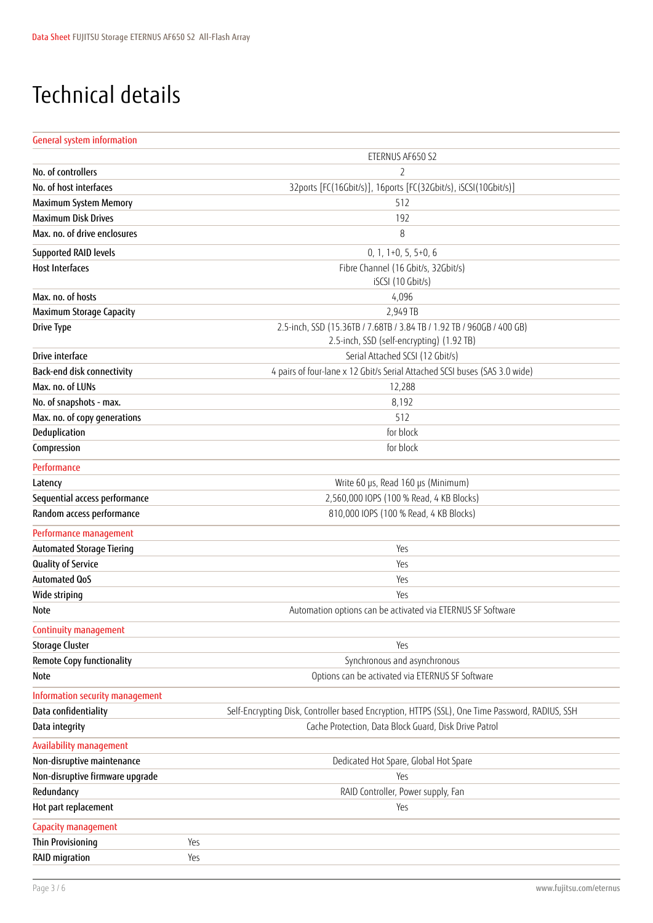### Technical details

#### General system information

|                                  | ETERNUS AF650 S2                                                                                                   |  |  |
|----------------------------------|--------------------------------------------------------------------------------------------------------------------|--|--|
| No. of controllers               | $\overline{2}$                                                                                                     |  |  |
| No. of host interfaces           | 32ports [FC(16Gbit/s)], 16ports [FC(32Gbit/s), iSCSI(10Gbit/s)]                                                    |  |  |
| <b>Maximum System Memory</b>     | 512                                                                                                                |  |  |
| <b>Maximum Disk Drives</b>       | 192                                                                                                                |  |  |
| Max. no. of drive enclosures     | 8                                                                                                                  |  |  |
| <b>Supported RAID levels</b>     | $0, 1, 1+0, 5, 5+0, 6$                                                                                             |  |  |
| <b>Host Interfaces</b>           | Fibre Channel (16 Gbit/s, 32Gbit/s)                                                                                |  |  |
|                                  | iSCSI (10 Gbit/s)                                                                                                  |  |  |
| Max. no. of hosts                | 4,096                                                                                                              |  |  |
| Maximum Storage Capacity         | 2,949 TB                                                                                                           |  |  |
| <b>Drive Type</b>                | 2.5-inch, SSD (15.36TB / 7.68TB / 3.84 TB / 1.92 TB / 960GB / 400 GB)<br>2.5-inch, SSD (self-encrypting) (1.92 TB) |  |  |
| Drive interface                  | Serial Attached SCSI (12 Gbit/s)                                                                                   |  |  |
| Back-end disk connectivity       | 4 pairs of four-lane x 12 Gbit/s Serial Attached SCSI buses (SAS 3.0 wide)                                         |  |  |
| Max. no. of LUNs                 | 12,288                                                                                                             |  |  |
| No. of snapshots - max.          | 8,192                                                                                                              |  |  |
| Max. no. of copy generations     | 512                                                                                                                |  |  |
| Deduplication                    | for block                                                                                                          |  |  |
| Compression                      | for block                                                                                                          |  |  |
| Performance                      |                                                                                                                    |  |  |
| Latency                          | Write 60 µs, Read 160 µs (Minimum)                                                                                 |  |  |
| Sequential access performance    | 2,560,000 IOPS (100 % Read, 4 KB Blocks)                                                                           |  |  |
| Random access performance        | 810,000 IOPS (100 % Read, 4 KB Blocks)                                                                             |  |  |
| Performance management           |                                                                                                                    |  |  |
| <b>Automated Storage Tiering</b> | Yes                                                                                                                |  |  |
| Quality of Service               | Yes                                                                                                                |  |  |
| <b>Automated QoS</b>             | Yes                                                                                                                |  |  |
| Wide striping                    | Yes                                                                                                                |  |  |
| Note                             | Automation options can be activated via ETERNUS SF Software                                                        |  |  |
| Continuity management            |                                                                                                                    |  |  |
| <b>Storage Cluster</b>           | Yes                                                                                                                |  |  |
| <b>Remote Copy functionality</b> | Synchronous and asynchronous                                                                                       |  |  |
| <b>Note</b>                      | Options can be activated via ETERNUS SF Software                                                                   |  |  |
| Information security management  |                                                                                                                    |  |  |
| Data confidentiality             | Self-Encrypting Disk, Controller based Encryption, HTTPS (SSL), One Time Password, RADIUS, SSH                     |  |  |
| Data integrity                   | Cache Protection, Data Block Guard, Disk Drive Patrol                                                              |  |  |
| <b>Availability management</b>   |                                                                                                                    |  |  |
| Non-disruptive maintenance       | Dedicated Hot Spare, Global Hot Spare                                                                              |  |  |
| Non-disruptive firmware upgrade  | Yes                                                                                                                |  |  |
| Redundancy                       | RAID Controller, Power supply, Fan                                                                                 |  |  |
| Hot part replacement             | Yes                                                                                                                |  |  |
| Capacity management              |                                                                                                                    |  |  |
| <b>Thin Provisioning</b>         | Yes                                                                                                                |  |  |
| RAID migration                   | Yes                                                                                                                |  |  |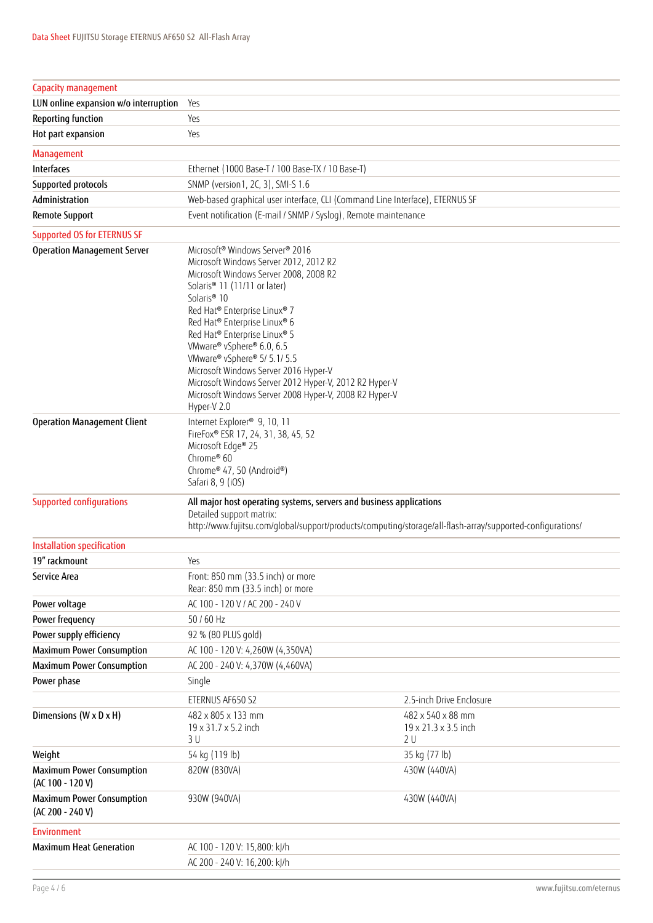| Capacity management                                    |                                                                                                                                                                                                                                                                                                                                                                                                                                                                                                                                                 |                                                 |  |
|--------------------------------------------------------|-------------------------------------------------------------------------------------------------------------------------------------------------------------------------------------------------------------------------------------------------------------------------------------------------------------------------------------------------------------------------------------------------------------------------------------------------------------------------------------------------------------------------------------------------|-------------------------------------------------|--|
| LUN online expansion w/o interruption                  | Yes                                                                                                                                                                                                                                                                                                                                                                                                                                                                                                                                             |                                                 |  |
| <b>Reporting function</b>                              | Yes                                                                                                                                                                                                                                                                                                                                                                                                                                                                                                                                             |                                                 |  |
| Hot part expansion                                     | Yes                                                                                                                                                                                                                                                                                                                                                                                                                                                                                                                                             |                                                 |  |
| Management                                             |                                                                                                                                                                                                                                                                                                                                                                                                                                                                                                                                                 |                                                 |  |
| Interfaces                                             | Ethernet (1000 Base-T / 100 Base-TX / 10 Base-T)                                                                                                                                                                                                                                                                                                                                                                                                                                                                                                |                                                 |  |
| Supported protocols                                    | SNMP (version1, 2C, 3), SMI-S 1.6                                                                                                                                                                                                                                                                                                                                                                                                                                                                                                               |                                                 |  |
| Administration                                         | Web-based graphical user interface, CLI (Command Line Interface), ETERNUS SF                                                                                                                                                                                                                                                                                                                                                                                                                                                                    |                                                 |  |
| <b>Remote Support</b>                                  | Event notification (E-mail / SNMP / Syslog), Remote maintenance                                                                                                                                                                                                                                                                                                                                                                                                                                                                                 |                                                 |  |
| <b>Supported OS for ETERNUS SF</b>                     |                                                                                                                                                                                                                                                                                                                                                                                                                                                                                                                                                 |                                                 |  |
| <b>Operation Management Server</b>                     | Microsoft <sup>®</sup> Windows Server <sup>®</sup> 2016<br>Microsoft Windows Server 2012, 2012 R2<br>Microsoft Windows Server 2008, 2008 R2<br>Solaris® 11 (11/11 or later)<br>Solaris <sup>®</sup> 10<br>Red Hat® Enterprise Linux® 7<br>Red Hat® Enterprise Linux® 6<br>Red Hat® Enterprise Linux® 5<br>VMware® vSphere® 6.0, 6.5<br>VMware® vSphere® 5/ 5.1/ 5.5<br>Microsoft Windows Server 2016 Hyper-V<br>Microsoft Windows Server 2012 Hyper-V, 2012 R2 Hyper-V<br>Microsoft Windows Server 2008 Hyper-V, 2008 R2 Hyper-V<br>Hyper-V 2.0 |                                                 |  |
| <b>Operation Management Client</b>                     | Internet Explorer® 9, 10, 11<br>FireFox® ESR 17, 24, 31, 38, 45, 52<br>Microsoft Edge® 25<br>Chrome® 60<br>Chrome® 47, 50 (Android®)<br>Safari 8, 9 (iOS)                                                                                                                                                                                                                                                                                                                                                                                       |                                                 |  |
| <b>Supported configurations</b>                        | All major host operating systems, servers and business applications<br>Detailed support matrix:<br>http://www.fujitsu.com/global/support/products/computing/storage/all-flash-array/supported-configurations/                                                                                                                                                                                                                                                                                                                                   |                                                 |  |
| Installation specification                             |                                                                                                                                                                                                                                                                                                                                                                                                                                                                                                                                                 |                                                 |  |
| 19" rackmount                                          | Yes                                                                                                                                                                                                                                                                                                                                                                                                                                                                                                                                             |                                                 |  |
| Service Area                                           | Front: 850 mm (33.5 inch) or more<br>Rear: 850 mm (33.5 inch) or more                                                                                                                                                                                                                                                                                                                                                                                                                                                                           |                                                 |  |
| Power voltage                                          | AC 100 - 120 V / AC 200 - 240 V                                                                                                                                                                                                                                                                                                                                                                                                                                                                                                                 |                                                 |  |
| Power frequency                                        | 50 / 60 Hz                                                                                                                                                                                                                                                                                                                                                                                                                                                                                                                                      |                                                 |  |
| Power supply efficiency                                | 92 % (80 PLUS gold)                                                                                                                                                                                                                                                                                                                                                                                                                                                                                                                             |                                                 |  |
| <b>Maximum Power Consumption</b>                       | AC 100 - 120 V: 4,260W (4,350VA)                                                                                                                                                                                                                                                                                                                                                                                                                                                                                                                |                                                 |  |
| Maximum Power Consumption                              | AC 200 - 240 V: 4,370W (4,460VA)                                                                                                                                                                                                                                                                                                                                                                                                                                                                                                                |                                                 |  |
| Power phase                                            | Single                                                                                                                                                                                                                                                                                                                                                                                                                                                                                                                                          |                                                 |  |
|                                                        | ETERNUS AF650 S2                                                                                                                                                                                                                                                                                                                                                                                                                                                                                                                                | 2.5-inch Drive Enclosure                        |  |
| Dimensions (W x D x H)                                 | 482 x 805 x 133 mm<br>19 x 31.7 x 5.2 inch<br>3U                                                                                                                                                                                                                                                                                                                                                                                                                                                                                                | 482 x 540 x 88 mm<br>19 x 21.3 x 3.5 inch<br>2U |  |
| Weight                                                 | 54 kg (119 lb)                                                                                                                                                                                                                                                                                                                                                                                                                                                                                                                                  | 35 kg (77 lb)                                   |  |
| <b>Maximum Power Consumption</b><br>(AC 100 - 120 V)   | 820W (830VA)                                                                                                                                                                                                                                                                                                                                                                                                                                                                                                                                    | 430W (440VA)                                    |  |
| <b>Maximum Power Consumption</b><br>$(AC 200 - 240 V)$ | 930W (940VA)                                                                                                                                                                                                                                                                                                                                                                                                                                                                                                                                    | 430W (440VA)                                    |  |
| <b>Environment</b>                                     |                                                                                                                                                                                                                                                                                                                                                                                                                                                                                                                                                 |                                                 |  |
| <b>Maximum Heat Generation</b>                         | AC 100 - 120 V: 15,800: kJ/h                                                                                                                                                                                                                                                                                                                                                                                                                                                                                                                    |                                                 |  |
|                                                        | AC 200 - 240 V: 16,200: kJ/h                                                                                                                                                                                                                                                                                                                                                                                                                                                                                                                    |                                                 |  |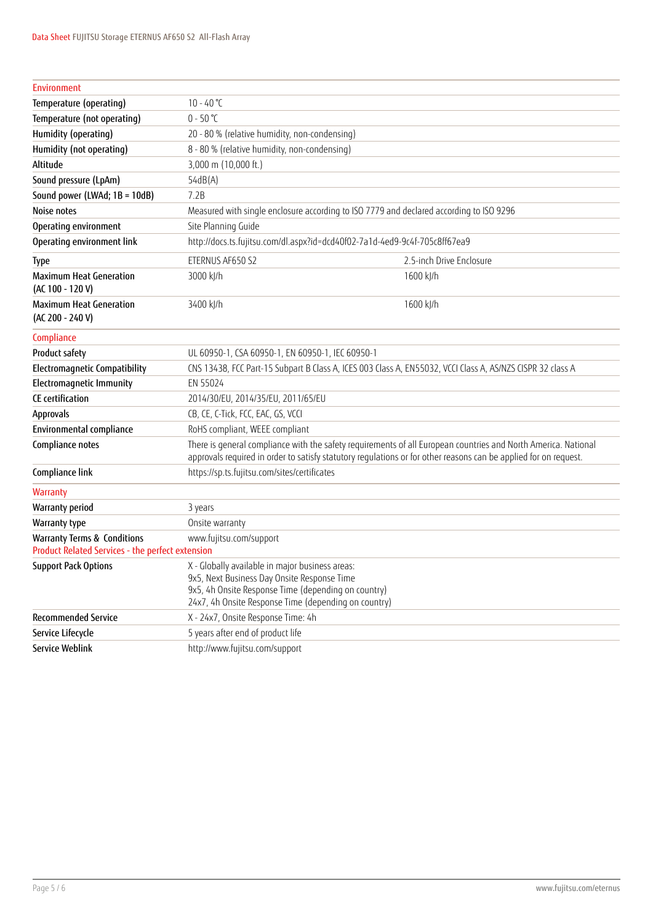| Environment                                                                                                           |                                                                                                                                                                                                                                    |                          |  |
|-----------------------------------------------------------------------------------------------------------------------|------------------------------------------------------------------------------------------------------------------------------------------------------------------------------------------------------------------------------------|--------------------------|--|
| Temperature (operating)                                                                                               | $10 - 40$ °C                                                                                                                                                                                                                       |                          |  |
| Temperature (not operating)                                                                                           | $0 - 50$ °C                                                                                                                                                                                                                        |                          |  |
| Humidity (operating)                                                                                                  | 20 - 80 % (relative humidity, non-condensing)                                                                                                                                                                                      |                          |  |
| Humidity (not operating)                                                                                              | 8 - 80 % (relative humidity, non-condensing)                                                                                                                                                                                       |                          |  |
| Altitude                                                                                                              | 3,000 m (10,000 ft.)                                                                                                                                                                                                               |                          |  |
| Sound pressure (LpAm)                                                                                                 | 54dB(A)                                                                                                                                                                                                                            |                          |  |
| Sound power (LWAd; 1B = 10dB)                                                                                         | 7.2B                                                                                                                                                                                                                               |                          |  |
| Noise notes                                                                                                           | Measured with single enclosure according to ISO 7779 and declared according to ISO 9296                                                                                                                                            |                          |  |
| Operating environment                                                                                                 | Site Planning Guide                                                                                                                                                                                                                |                          |  |
| Operating environment link                                                                                            | http://docs.ts.fujitsu.com/dl.aspx?id=dcd40f02-7a1d-4ed9-9c4f-705c8ff67ea9                                                                                                                                                         |                          |  |
| Type                                                                                                                  | ETERNUS AF650 S2                                                                                                                                                                                                                   | 2.5-inch Drive Enclosure |  |
| <b>Maximum Heat Generation</b><br>(AC 100 - 120 V)                                                                    | 3000 kJ/h                                                                                                                                                                                                                          | 1600 kJ/h                |  |
| <b>Maximum Heat Generation</b><br>$(AC 200 - 240 V)$                                                                  | 3400 kJ/h                                                                                                                                                                                                                          | 1600 kJ/h                |  |
| Compliance                                                                                                            |                                                                                                                                                                                                                                    |                          |  |
| Product safety                                                                                                        | UL 60950-1, CSA 60950-1, EN 60950-1, IEC 60950-1                                                                                                                                                                                   |                          |  |
| <b>Electromagnetic Compatibility</b>                                                                                  | CNS 13438, FCC Part-15 Subpart B Class A, ICES 003 Class A, EN55032, VCCI Class A, AS/NZS CISPR 32 class A                                                                                                                         |                          |  |
| <b>Electromagnetic Immunity</b>                                                                                       | EN 55024                                                                                                                                                                                                                           |                          |  |
| CE certification                                                                                                      | 2014/30/EU, 2014/35/EU, 2011/65/EU                                                                                                                                                                                                 |                          |  |
| Approvals                                                                                                             | CB, CE, C-Tick, FCC, EAC, GS, VCCI                                                                                                                                                                                                 |                          |  |
| Environmental compliance                                                                                              | RoHS compliant, WEEE compliant                                                                                                                                                                                                     |                          |  |
| Compliance notes                                                                                                      | There is general compliance with the safety requirements of all European countries and North America. National<br>approvals required in order to satisfy statutory regulations or for other reasons can be applied for on request. |                          |  |
| Compliance link                                                                                                       | https://sp.ts.fujitsu.com/sites/certificates                                                                                                                                                                                       |                          |  |
| Warranty                                                                                                              |                                                                                                                                                                                                                                    |                          |  |
| <b>Warranty period</b>                                                                                                | 3 years                                                                                                                                                                                                                            |                          |  |
| Warranty type                                                                                                         | Onsite warranty                                                                                                                                                                                                                    |                          |  |
| <b>Warranty Terms &amp; Conditions</b><br>www.fujitsu.com/support<br>Product Related Services - the perfect extension |                                                                                                                                                                                                                                    |                          |  |
| <b>Support Pack Options</b>                                                                                           | X - Globally available in major business areas:<br>9x5, Next Business Day Onsite Response Time<br>9x5, 4h Onsite Response Time (depending on country)<br>24x7, 4h Onsite Response Time (depending on country)                      |                          |  |
| <b>Recommended Service</b>                                                                                            | X - 24x7, Onsite Response Time: 4h                                                                                                                                                                                                 |                          |  |
| Service Lifecycle                                                                                                     | 5 years after end of product life                                                                                                                                                                                                  |                          |  |
| <b>Service Weblink</b>                                                                                                | http://www.fujitsu.com/support                                                                                                                                                                                                     |                          |  |